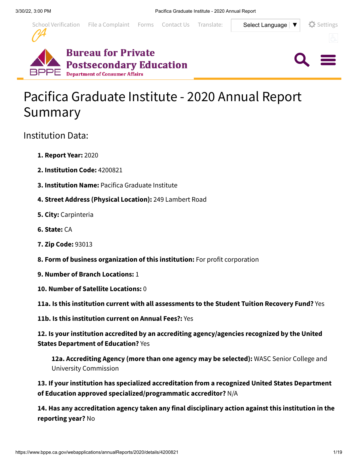

 $Q \equiv$ 





# Pacifica Graduate Institute - 2020 Annual Report Summary

# Institution Data:

- **1. Report Year:** 2020
- **2. Institution Code:** 4200821
- **3. Institution Name:** Pacifica Graduate Institute
- **4. Street Address (Physical Location):** 249 Lambert Road
- **5. City:** Carpinteria
- **6. State:** CA
- **7. Zip Code:** 93013
- **8. Form of business organization of this institution:** For profit corporation
- **9. Number of Branch Locations:** 1
- **10. Number of Satellite Locations:** 0

**11a. Is this institution current with all assessments to the Student Tuition Recovery Fund?** Yes

**11b. Is this institution current on Annual Fees?:** Yes

**12. Is your institution accredited by an accrediting agency/agencies recognized by the United States Department of Education?** Yes

**12a. Accrediting Agency (more than one agency may be selected):** WASC Senior College and University Commission

**13. If your institution has specialized accreditation from a recognized United States Department of Education approved specialized/programmatic accreditor?** N/A

**14. Has any accreditation agency taken any final disciplinary action against this institution in the reporting year?** No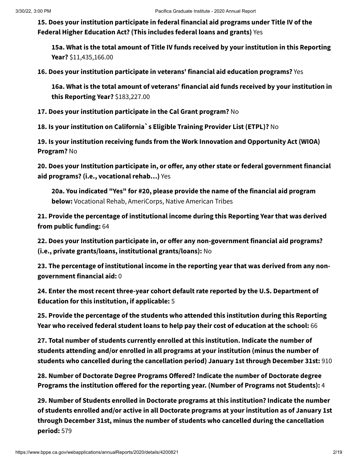**15. Does your institution participate in federal financial aid programs under Title IV of the Federal Higher Education Act? (This includes federal loans and grants)** Yes

**15a. What is the total amount of Title IV funds received by your institution in this Reporting Year?** \$11,435,166.00

**16. Does your institution participate in veterans' financial aid education programs?** Yes

**16a. What is the total amount of veterans' financial aid funds received by your institution in this Reporting Year?** \$183,227.00

**17. Does your institution participate in the Cal Grant program?** No

**18. Is your institution on California`s Eligible Training Provider List (ETPL)?** No

**19. Is your institution receiving funds from the Work Innovation and Opportunity Act (WIOA) Program?** No

**20. Does your Institution participate in, or offer, any other state or federal government financial aid programs? (i.e., vocational rehab…)** Yes

**20a. You indicated "Yes" for #20, please provide the name of the financial aid program below:** Vocational Rehab, AmeriCorps, Native American Tribes

**21. Provide the percentage of institutional income during this Reporting Year that was derived from public funding:** 64

**22. Does your Institution participate in, or offer any non-government financial aid programs? (i.e., private grants/loans, institutional grants/loans):** No

**23. The percentage of institutional income in the reporting year that was derived from any nongovernment financial aid:** 0

**24. Enter the most recent three-year cohort default rate reported by the U.S. Department of Education for this institution, if applicable:** 5

**25. Provide the percentage of the students who attended this institution during this Reporting Year who received federal student loans to help pay their cost of education at the school:** 66

**27. Total number of students currently enrolled at this institution. Indicate the number of students attending and/or enrolled in all programs at your institution (minus the number of students who cancelled during the cancellation period) January 1st through December 31st:** 910

**28. Number of Doctorate Degree Programs Offered? Indicate the number of Doctorate degree Programs the institution offered for the reporting year. (Number of Programs not Students):** 4

**29. Number of Students enrolled in Doctorate programs at this institution? Indicate the number of students enrolled and/or active in all Doctorate programs at your institution as of January 1st through December 31st, minus the number of students who cancelled during the cancellation period:** 579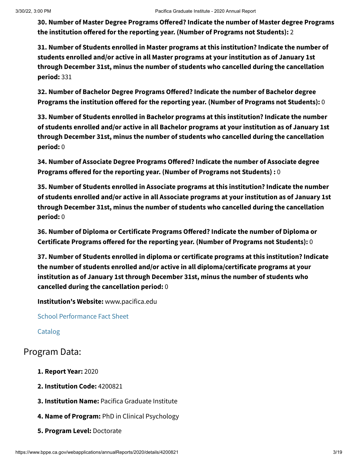**30. Number of Master Degree Programs Offered? Indicate the number of Master degree Programs the institution offered for the reporting year. (Number of Programs not Students):** 2

**31. Number of Students enrolled in Master programs at this institution? Indicate the number of students enrolled and/or active in all Master programs at your institution as of January 1st through December 31st, minus the number of students who cancelled during the cancellation period:** 331

**32. Number of Bachelor Degree Programs Offered? Indicate the number of Bachelor degree Programs the institution offered for the reporting year. (Number of Programs not Students):** 0

**33. Number of Students enrolled in Bachelor programs at this institution? Indicate the number of students enrolled and/or active in all Bachelor programs at your institution as of January 1st through December 31st, minus the number of students who cancelled during the cancellation period:** 0

**34. Number of Associate Degree Programs Offered? Indicate the number of Associate degree Programs offered for the reporting year. (Number of Programs not Students) :** 0

**35. Number of Students enrolled in Associate programs at this institution? Indicate the number of students enrolled and/or active in all Associate programs at your institution as of January 1st through December 31st, minus the number of students who cancelled during the cancellation period:** 0

**36. Number of Diploma or Certificate Programs Offered? Indicate the number of Diploma or Certificate Programs offered for the reporting year. (Number of Programs not Students):** 0

**37. Number of Students enrolled in diploma or certificate programs at this institution? Indicate the number of students enrolled and/or active in all diploma/certificate programs at your institution as of January 1st through December 31st, minus the number of students who cancelled during the cancellation period:** 0

**Institution's Website:** www.pacifica.edu

School [Performance](https://www.bppe.ca.gov/webapplications/annualReports/2020/document/69E26B3E-F8F8-48AD-80BB-F86478560422) Fact Sheet

[Catalog](https://www.bppe.ca.gov/webapplications/annualReports/2020/document/F2E6FF76-34E4-433F-80AE-1EBAA482B349)

# Program Data:

- **1. Report Year:** 2020
- **2. Institution Code:** 4200821
- **3. Institution Name:** Pacifica Graduate Institute
- **4. Name of Program:** PhD in Clinical Psychology
- **5. Program Level:** Doctorate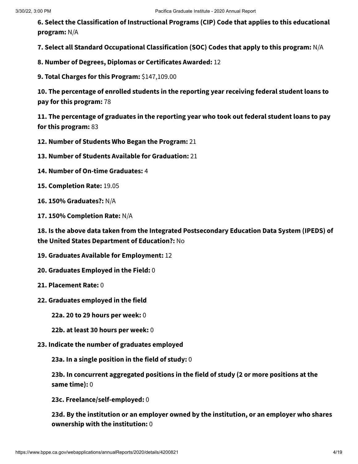**6. Select the Classification of Instructional Programs (CIP) Code that applies to this educational program:** N/A

**7. Select all Standard Occupational Classification (SOC) Codes that apply to this program:** N/A

**8. Number of Degrees, Diplomas or Certificates Awarded:** 12

**9. Total Charges for this Program:** \$147,109.00

**10. The percentage of enrolled students in the reporting year receiving federal student loans to pay for this program:** 78

**11. The percentage of graduates in the reporting year who took out federal student loans to pay for this program:** 83

**12. Number of Students Who Began the Program:** 21

**13. Number of Students Available for Graduation:** 21

- **14. Number of On-time Graduates:** 4
- **15. Completion Rate:** 19.05

**16. 150% Graduates?:** N/A

**17. 150% Completion Rate:** N/A

**18. Is the above data taken from the Integrated Postsecondary Education Data System (IPEDS) of the United States Department of Education?:** No

- **19. Graduates Available for Employment:** 12
- **20. Graduates Employed in the Field:** 0
- **21. Placement Rate:** 0
- **22. Graduates employed in the field**

**22a. 20 to 29 hours per week:** 0

- **22b. at least 30 hours per week:** 0
- **23. Indicate the number of graduates employed**

**23a. In a single position in the field of study:** 0

**23b. In concurrent aggregated positions in the field of study (2 or more positions at the same time):** 0

**23c. Freelance/self-employed:** 0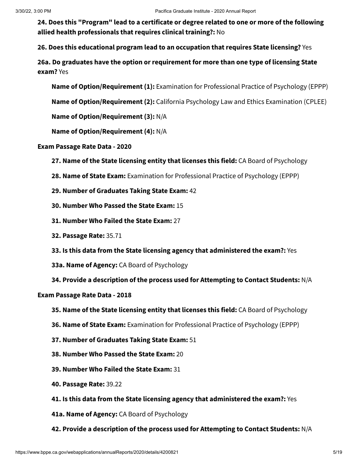**26. Does this educational program lead to an occupation that requires State licensing?** Yes

**26a. Do graduates have the option or requirement for more than one type of licensing State exam?** Yes

**Name of Option/Requirement (1):** Examination for Professional Practice of Psychology (EPPP)

**Name of Option/Requirement (2):** California Psychology Law and Ethics Examination (CPLEE)

**Name of Option/Requirement (3):** N/A

**Name of Option/Requirement (4):** N/A

**Exam Passage Rate Data - 2020**

**27. Name of the State licensing entity that licenses this field:** CA Board of Psychology

**28. Name of State Exam:** Examination for Professional Practice of Psychology (EPPP)

- **29. Number of Graduates Taking State Exam:** 42
- **30. Number Who Passed the State Exam:** 15
- **31. Number Who Failed the State Exam:** 27
- **32. Passage Rate:** 35.71
- **33. Is this data from the State licensing agency that administered the exam?:** Yes
- **33a. Name of Agency:** CA Board of Psychology
- **34. Provide a description of the process used for Attempting to Contact Students:** N/A

### **Exam Passage Rate Data - 2018**

- **35. Name of the State licensing entity that licenses this field:** CA Board of Psychology
- **36. Name of State Exam:** Examination for Professional Practice of Psychology (EPPP)
- **37. Number of Graduates Taking State Exam:** 51
- **38. Number Who Passed the State Exam:** 20
- **39. Number Who Failed the State Exam:** 31
- **40. Passage Rate:** 39.22
- **41. Is this data from the State licensing agency that administered the exam?:** Yes
- **41a. Name of Agency:** CA Board of Psychology
- **42. Provide a description of the process used for Attempting to Contact Students:** N/A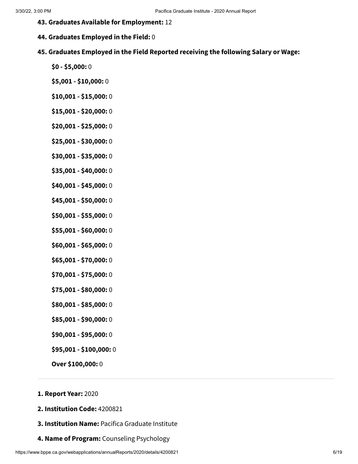- **43. Graduates Available for Employment:** 12
- **44. Graduates Employed in the Field:** 0
- **45. Graduates Employed in the Field Reported receiving the following Salary or Wage:**
	- **\$0 - \$5,000:** 0
	- **\$5,001 - \$10,000:** 0
	- **\$10,001 - \$15,000:** 0
	- **\$15,001 - \$20,000:** 0
	- **\$20,001 - \$25,000:** 0
	- **\$25,001 - \$30,000:** 0
	- **\$30,001 - \$35,000:** 0
	- **\$35,001 - \$40,000:** 0
	- **\$40,001 - \$45,000:** 0
	- **\$45,001 - \$50,000:** 0
	- **\$50,001 - \$55,000:** 0
	- **\$55,001 - \$60,000:** 0
	- **\$60,001 - \$65,000:** 0
	- **\$65,001 - \$70,000:** 0
	- **\$70,001 - \$75,000:** 0
	- **\$75,001 - \$80,000:** 0
	- **\$80,001 - \$85,000:** 0
	- **\$85,001 - \$90,000:** 0
	- **\$90,001 - \$95,000:** 0
	- **\$95,001 - \$100,000:** 0
	- **Over \$100,000:** 0

## **1. Report Year:** 2020

- **2. Institution Code:** 4200821
- **3. Institution Name:** Pacifica Graduate Institute
- **4. Name of Program:** Counseling Psychology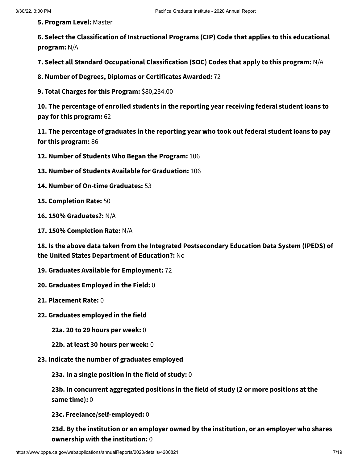**5. Program Level:** Master

**6. Select the Classification of Instructional Programs (CIP) Code that applies to this educational program:** N/A

**7. Select all Standard Occupational Classification (SOC) Codes that apply to this program:** N/A

**8. Number of Degrees, Diplomas or Certificates Awarded:** 72

**9. Total Charges for this Program:** \$80,234.00

**10. The percentage of enrolled students in the reporting year receiving federal student loans to pay for this program:** 62

**11. The percentage of graduates in the reporting year who took out federal student loans to pay for this program:** 86

**12. Number of Students Who Began the Program:** 106

- **13. Number of Students Available for Graduation:** 106
- **14. Number of On-time Graduates:** 53
- **15. Completion Rate:** 50
- **16. 150% Graduates?:** N/A
- **17. 150% Completion Rate:** N/A

**18. Is the above data taken from the Integrated Postsecondary Education Data System (IPEDS) of the United States Department of Education?:** No

- **19. Graduates Available for Employment:** 72
- **20. Graduates Employed in the Field:** 0
- **21. Placement Rate:** 0
- **22. Graduates employed in the field**
	- **22a. 20 to 29 hours per week:** 0
	- **22b. at least 30 hours per week:** 0
- **23. Indicate the number of graduates employed**

**23a. In a single position in the field of study:** 0

**23b. In concurrent aggregated positions in the field of study (2 or more positions at the same time):** 0

**23c. Freelance/self-employed:** 0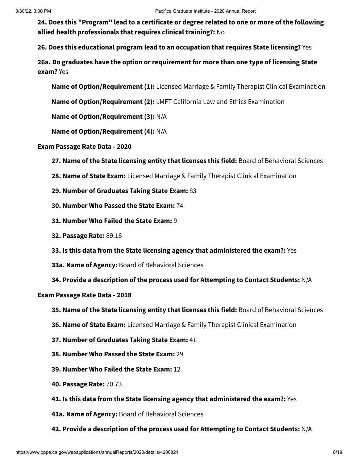**26. Does this educational program lead to an occupation that requires State licensing?** Yes

**26a. Do graduates have the option or requirement for more than one type of licensing State exam?** Yes

**Name of Option/Requirement (1):** Licensed Marriage & Family Therapist Clinical Examination

**Name of Option/Requirement (2):** LMFT California Law and Ethics Examination

**Name of Option/Requirement (3):** N/A

**Name of Option/Requirement (4):** N/A

### **Exam Passage Rate Data - 2020**

- **27. Name of the State licensing entity that licenses this field:** Board of Behavioral Sciences
- **28. Name of State Exam:** Licensed Marriage & Family Therapist Clinical Examination
- **29. Number of Graduates Taking State Exam:** 83
- **30. Number Who Passed the State Exam:** 74
- **31. Number Who Failed the State Exam:** 9
- **32. Passage Rate:** 89.16
- **33. Is this data from the State licensing agency that administered the exam?:** Yes
- **33a. Name of Agency:** Board of Behavioral Sciences
- **34. Provide a description of the process used for Attempting to Contact Students:** N/A

### **Exam Passage Rate Data - 2018**

- **35. Name of the State licensing entity that licenses this field:** Board of Behavioral Sciences
- **36. Name of State Exam:** Licensed Marriage & Family Therapist Clinical Examination
- **37. Number of Graduates Taking State Exam:** 41
- **38. Number Who Passed the State Exam:** 29
- **39. Number Who Failed the State Exam:** 12
- **40. Passage Rate:** 70.73
- **41. Is this data from the State licensing agency that administered the exam?:** Yes
- **41a. Name of Agency:** Board of Behavioral Sciences
- **42. Provide a description of the process used for Attempting to Contact Students:** N/A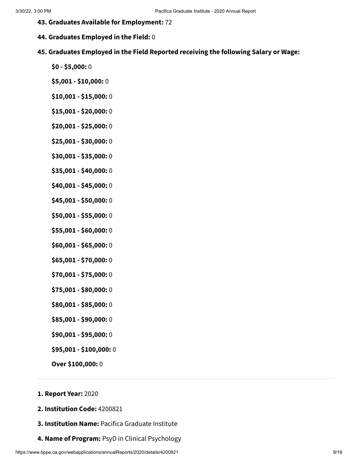- **43. Graduates Available for Employment:** 72
- **44. Graduates Employed in the Field:** 0
- **45. Graduates Employed in the Field Reported receiving the following Salary or Wage:**
	- **\$0 - \$5,000:** 0
	- **\$5,001 - \$10,000:** 0
	- **\$10,001 - \$15,000:** 0
	- **\$15,001 - \$20,000:** 0
	- **\$20,001 - \$25,000:** 0
	- **\$25,001 - \$30,000:** 0
	- **\$30,001 - \$35,000:** 0
	- **\$35,001 - \$40,000:** 0
	- **\$40,001 - \$45,000:** 0
	- **\$45,001 - \$50,000:** 0
	- **\$50,001 - \$55,000:** 0
	- **\$55,001 - \$60,000:** 0
	- **\$60,001 - \$65,000:** 0
	- **\$65,001 - \$70,000:** 0
	- **\$70,001 - \$75,000:** 0
	- **\$75,001 - \$80,000:** 0
	- **\$80,001 - \$85,000:** 0
	- **\$85,001 - \$90,000:** 0
	- **\$90,001 - \$95,000:** 0
	- **\$95,001 - \$100,000:** 0
	- **Over \$100,000:** 0

## **1. Report Year:** 2020

- **2. Institution Code:** 4200821
- **3. Institution Name:** Pacifica Graduate Institute
- **4. Name of Program:** PsyD in Clinical Psychology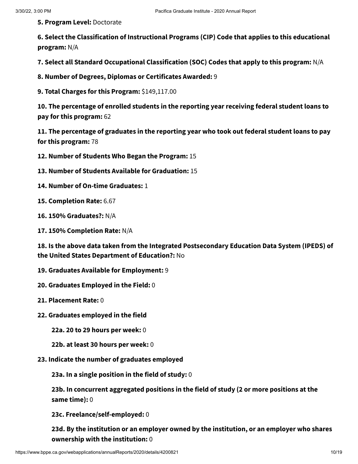**5. Program Level:** Doctorate

**6. Select the Classification of Instructional Programs (CIP) Code that applies to this educational program:** N/A

**7. Select all Standard Occupational Classification (SOC) Codes that apply to this program:** N/A

**8. Number of Degrees, Diplomas or Certificates Awarded:** 9

**9. Total Charges for this Program:** \$149,117.00

**10. The percentage of enrolled students in the reporting year receiving federal student loans to pay for this program:** 62

**11. The percentage of graduates in the reporting year who took out federal student loans to pay for this program:** 78

**12. Number of Students Who Began the Program:** 15

- **13. Number of Students Available for Graduation:** 15
- **14. Number of On-time Graduates:** 1

**15. Completion Rate:** 6.67

**16. 150% Graduates?:** N/A

**17. 150% Completion Rate:** N/A

**18. Is the above data taken from the Integrated Postsecondary Education Data System (IPEDS) of the United States Department of Education?:** No

- **19. Graduates Available for Employment:** 9
- **20. Graduates Employed in the Field:** 0
- **21. Placement Rate:** 0
- **22. Graduates employed in the field**

**22a. 20 to 29 hours per week:** 0

- **22b. at least 30 hours per week:** 0
- **23. Indicate the number of graduates employed**

**23a. In a single position in the field of study:** 0

**23b. In concurrent aggregated positions in the field of study (2 or more positions at the same time):** 0

**23c. Freelance/self-employed:** 0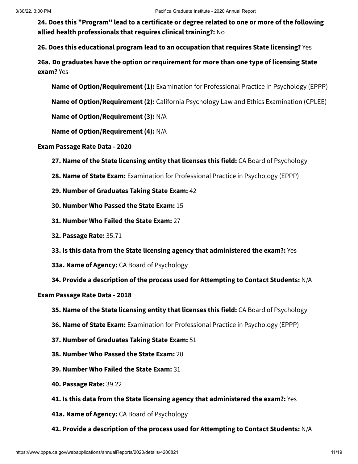**26. Does this educational program lead to an occupation that requires State licensing?** Yes

**26a. Do graduates have the option or requirement for more than one type of licensing State exam?** Yes

**Name of Option/Requirement (1):** Examination for Professional Practice in Psychology (EPPP)

**Name of Option/Requirement (2):** California Psychology Law and Ethics Examination (CPLEE)

**Name of Option/Requirement (3):** N/A

**Name of Option/Requirement (4):** N/A

**Exam Passage Rate Data - 2020**

**27. Name of the State licensing entity that licenses this field:** CA Board of Psychology

**28. Name of State Exam:** Examination for Professional Practice in Psychology (EPPP)

**29. Number of Graduates Taking State Exam:** 42

**30. Number Who Passed the State Exam:** 15

- **31. Number Who Failed the State Exam:** 27
- **32. Passage Rate:** 35.71
- **33. Is this data from the State licensing agency that administered the exam?:** Yes
- **33a. Name of Agency:** CA Board of Psychology
- **34. Provide a description of the process used for Attempting to Contact Students:** N/A

### **Exam Passage Rate Data - 2018**

- **35. Name of the State licensing entity that licenses this field:** CA Board of Psychology
- **36. Name of State Exam:** Examination for Professional Practice in Psychology (EPPP)
- **37. Number of Graduates Taking State Exam:** 51
- **38. Number Who Passed the State Exam:** 20
- **39. Number Who Failed the State Exam:** 31
- **40. Passage Rate:** 39.22
- **41. Is this data from the State licensing agency that administered the exam?:** Yes
- **41a. Name of Agency:** CA Board of Psychology
- **42. Provide a description of the process used for Attempting to Contact Students:** N/A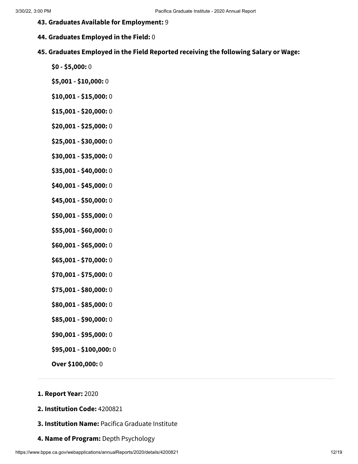- **43. Graduates Available for Employment:** 9
- **44. Graduates Employed in the Field:** 0
- **45. Graduates Employed in the Field Reported receiving the following Salary or Wage:**
	- **\$0 - \$5,000:** 0
	- **\$5,001 - \$10,000:** 0
	- **\$10,001 - \$15,000:** 0
	- **\$15,001 - \$20,000:** 0
	- **\$20,001 - \$25,000:** 0
	- **\$25,001 - \$30,000:** 0
	- **\$30,001 - \$35,000:** 0
	- **\$35,001 - \$40,000:** 0
	- **\$40,001 - \$45,000:** 0
	- **\$45,001 - \$50,000:** 0
	- **\$50,001 - \$55,000:** 0
	- **\$55,001 - \$60,000:** 0
	- **\$60,001 - \$65,000:** 0
	- **\$65,001 - \$70,000:** 0
	- **\$70,001 - \$75,000:** 0
	- **\$75,001 - \$80,000:** 0
	- **\$80,001 - \$85,000:** 0
	- **\$85,001 - \$90,000:** 0
	- **\$90,001 - \$95,000:** 0
	- **\$95,001 - \$100,000:** 0
	- **Over \$100,000:** 0

## **1. Report Year:** 2020

- **2. Institution Code:** 4200821
- **3. Institution Name:** Pacifica Graduate Institute
- **4. Name of Program:** Depth Psychology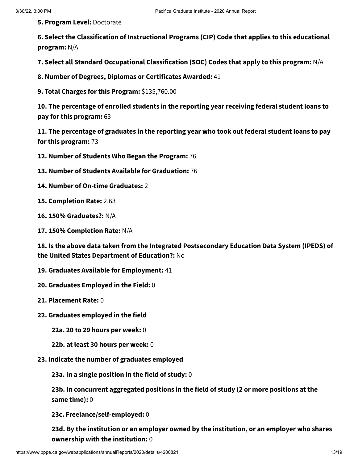**5. Program Level:** Doctorate

**6. Select the Classification of Instructional Programs (CIP) Code that applies to this educational program:** N/A

**7. Select all Standard Occupational Classification (SOC) Codes that apply to this program:** N/A

**8. Number of Degrees, Diplomas or Certificates Awarded:** 41

**9. Total Charges for this Program:** \$135,760.00

**10. The percentage of enrolled students in the reporting year receiving federal student loans to pay for this program:** 63

**11. The percentage of graduates in the reporting year who took out federal student loans to pay for this program:** 73

**12. Number of Students Who Began the Program:** 76

- **13. Number of Students Available for Graduation:** 76
- **14. Number of On-time Graduates:** 2

**15. Completion Rate:** 2.63

**16. 150% Graduates?:** N/A

**17. 150% Completion Rate:** N/A

**18. Is the above data taken from the Integrated Postsecondary Education Data System (IPEDS) of the United States Department of Education?:** No

- **19. Graduates Available for Employment:** 41
- **20. Graduates Employed in the Field:** 0
- **21. Placement Rate:** 0
- **22. Graduates employed in the field**

**22a. 20 to 29 hours per week:** 0

- **22b. at least 30 hours per week:** 0
- **23. Indicate the number of graduates employed**

**23a. In a single position in the field of study:** 0

**23b. In concurrent aggregated positions in the field of study (2 or more positions at the same time):** 0

**23c. Freelance/self-employed:** 0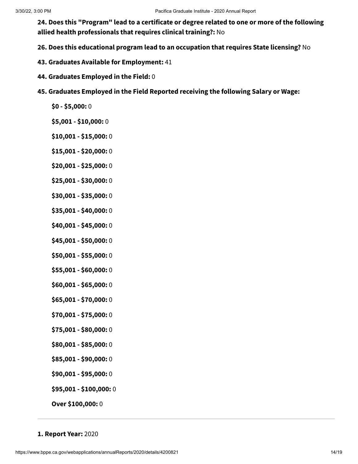**26. Does this educational program lead to an occupation that requires State licensing?** No

- **43. Graduates Available for Employment:** 41
- **44. Graduates Employed in the Field:** 0
- **45. Graduates Employed in the Field Reported receiving the following Salary or Wage:**
	- **\$0 - \$5,000:** 0
	- **\$5,001 - \$10,000:** 0
	- **\$10,001 - \$15,000:** 0
	- **\$15,001 - \$20,000:** 0
	- **\$20,001 - \$25,000:** 0
	- **\$25,001 - \$30,000:** 0
	- **\$30,001 - \$35,000:** 0
	- **\$35,001 - \$40,000:** 0
	- **\$40,001 - \$45,000:** 0
	- **\$45,001 - \$50,000:** 0
	- **\$50,001 - \$55,000:** 0
	- **\$55,001 - \$60,000:** 0
	- **\$60,001 - \$65,000:** 0
	- **\$65,001 - \$70,000:** 0
	- **\$70,001 - \$75,000:** 0
	- **\$75,001 - \$80,000:** 0
	- **\$80,001 - \$85,000:** 0
	- **\$85,001 - \$90,000:** 0
	- **\$90,001 - \$95,000:** 0
	- **\$95,001 - \$100,000:** 0
	- **Over \$100,000:** 0
- **1. Report Year:** 2020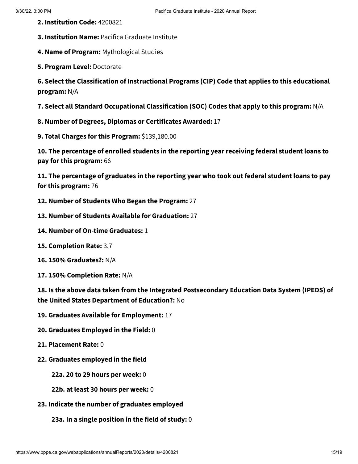- **2. Institution Code:** 4200821
- **3. Institution Name:** Pacifica Graduate Institute
- **4. Name of Program:** Mythological Studies
- **5. Program Level:** Doctorate

**6. Select the Classification of Instructional Programs (CIP) Code that applies to this educational program:** N/A

**7. Select all Standard Occupational Classification (SOC) Codes that apply to this program:** N/A

- **8. Number of Degrees, Diplomas or Certificates Awarded:** 17
- **9. Total Charges for this Program:** \$139,180.00

**10. The percentage of enrolled students in the reporting year receiving federal student loans to pay for this program:** 66

**11. The percentage of graduates in the reporting year who took out federal student loans to pay for this program:** 76

- **12. Number of Students Who Began the Program:** 27
- **13. Number of Students Available for Graduation:** 27
- **14. Number of On-time Graduates:** 1
- **15. Completion Rate:** 3.7
- **16. 150% Graduates?:** N/A
- **17. 150% Completion Rate:** N/A

**18. Is the above data taken from the Integrated Postsecondary Education Data System (IPEDS) of the United States Department of Education?:** No

- **19. Graduates Available for Employment:** 17
- **20. Graduates Employed in the Field:** 0
- **21. Placement Rate:** 0
- **22. Graduates employed in the field**

**22a. 20 to 29 hours per week:** 0

- **22b. at least 30 hours per week:** 0
- **23. Indicate the number of graduates employed**

**23a. In a single position in the field of study:** 0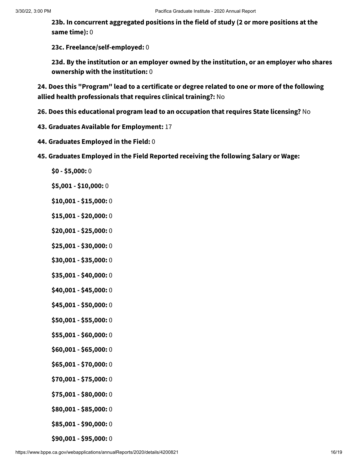**23b. In concurrent aggregated positions in the field of study (2 or more positions at the same time):** 0

**23c. Freelance/self-employed:** 0

**23d. By the institution or an employer owned by the institution, or an employer who shares ownership with the institution:** 0

**24. Does this "Program" lead to a certificate or degree related to one or more of the following allied health professionals that requires clinical training?:** No

- **26. Does this educational program lead to an occupation that requires State licensing?** No
- **43. Graduates Available for Employment:** 17
- **44. Graduates Employed in the Field:** 0
- **45. Graduates Employed in the Field Reported receiving the following Salary or Wage:**
	- **\$0 - \$5,000:** 0
	- **\$5,001 - \$10,000:** 0
	- **\$10,001 - \$15,000:** 0
	- **\$15,001 - \$20,000:** 0
	- **\$20,001 - \$25,000:** 0
	- **\$25,001 - \$30,000:** 0
	- **\$30,001 - \$35,000:** 0
	- **\$35,001 - \$40,000:** 0
	- **\$40,001 - \$45,000:** 0
	- **\$45,001 - \$50,000:** 0
	- **\$50,001 - \$55,000:** 0
	- **\$55,001 - \$60,000:** 0
	- **\$60,001 - \$65,000:** 0
	- **\$65,001 - \$70,000:** 0
	- **\$70,001 - \$75,000:** 0
	- **\$75,001 - \$80,000:** 0
	- **\$80,001 - \$85,000:** 0
	- **\$85,001 - \$90,000:** 0
	- **\$90,001 - \$95,000:** 0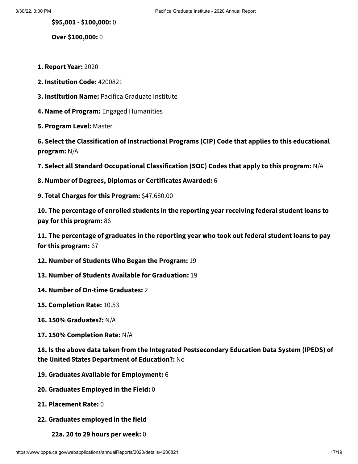**\$95,001 - \$100,000:** 0

**Over \$100,000:** 0

- **1. Report Year:** 2020
- **2. Institution Code:** 4200821
- **3. Institution Name:** Pacifica Graduate Institute
- **4. Name of Program:** Engaged Humanities
- **5. Program Level:** Master

**6. Select the Classification of Instructional Programs (CIP) Code that applies to this educational program:** N/A

**7. Select all Standard Occupational Classification (SOC) Codes that apply to this program:** N/A

- **8. Number of Degrees, Diplomas or Certificates Awarded:** 6
- **9. Total Charges for this Program:** \$47,680.00

**10. The percentage of enrolled students in the reporting year receiving federal student loans to pay for this program:** 86

**11. The percentage of graduates in the reporting year who took out federal student loans to pay for this program:** 67

- **12. Number of Students Who Began the Program:** 19
- **13. Number of Students Available for Graduation:** 19
- **14. Number of On-time Graduates:** 2
- **15. Completion Rate:** 10.53
- **16. 150% Graduates?:** N/A
- **17. 150% Completion Rate:** N/A

**18. Is the above data taken from the Integrated Postsecondary Education Data System (IPEDS) of the United States Department of Education?:** No

- **19. Graduates Available for Employment:** 6
- **20. Graduates Employed in the Field:** 0
- **21. Placement Rate:** 0
- **22. Graduates employed in the field**
	- **22a. 20 to 29 hours per week:** 0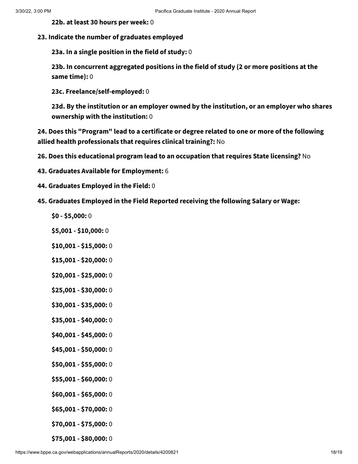**22b. at least 30 hours per week:** 0

#### **23. Indicate the number of graduates employed**

**23a. In a single position in the field of study:** 0

**23b. In concurrent aggregated positions in the field of study (2 or more positions at the same time):** 0

**23c. Freelance/self-employed:** 0

**23d. By the institution or an employer owned by the institution, or an employer who shares ownership with the institution:** 0

**24. Does this "Program" lead to a certificate or degree related to one or more of the following allied health professionals that requires clinical training?:** No

- **26. Does this educational program lead to an occupation that requires State licensing?** No
- **43. Graduates Available for Employment:** 6
- **44. Graduates Employed in the Field:** 0
- **45. Graduates Employed in the Field Reported receiving the following Salary or Wage:**
	- **\$0 - \$5,000:** 0
	- **\$5,001 - \$10,000:** 0
	- **\$10,001 - \$15,000:** 0
	- **\$15,001 - \$20,000:** 0
	- **\$20,001 - \$25,000:** 0
	- **\$25,001 - \$30,000:** 0
	- **\$30,001 - \$35,000:** 0
	- **\$35,001 - \$40,000:** 0
	- **\$40,001 - \$45,000:** 0
	- **\$45,001 - \$50,000:** 0
	- **\$50,001 - \$55,000:** 0
	- **\$55,001 - \$60,000:** 0
	- **\$60,001 - \$65,000:** 0
	- **\$65,001 - \$70,000:** 0
	- **\$70,001 - \$75,000:** 0
	- **\$75,001 - \$80,000:** 0